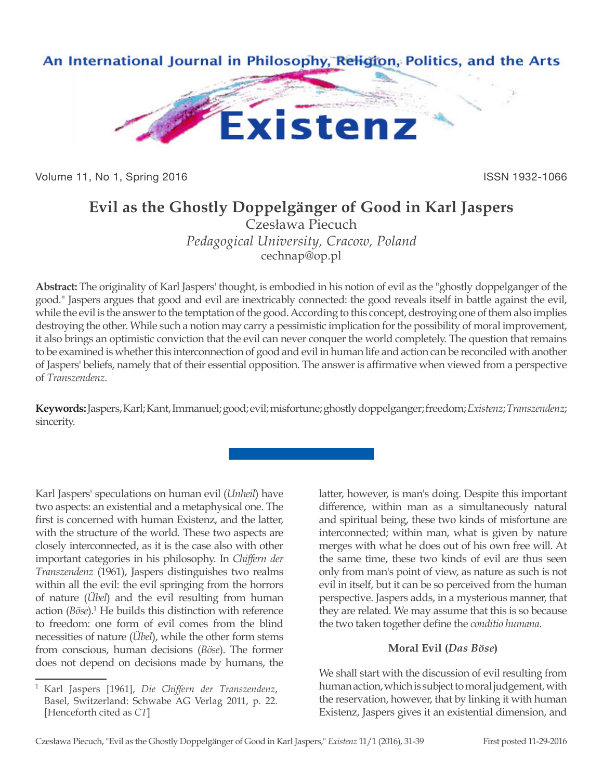

Volume 11, No 1, Spring 2016 **ISSN 1932-1066** ISSN 1932-1066

# **Evil as the Ghostly Doppelgänger of Good in Karl Jaspers**

Czesława Piecuch *Pedagogical University, Cracow, Poland* cechnap@op.pl

**Abstract:** The originality of Karl Jaspers' thought, is embodied in his notion of evil as the "ghostly doppelganger of the good." Jaspers argues that good and evil are inextricably connected: the good reveals itself in battle against the evil, while the evil is the answer to the temptation of the good. According to this concept, destroying one of them also implies destroying the other. While such a notion may carry a pessimistic implication for the possibility of moral improvement, it also brings an optimistic conviction that the evil can never conquer the world completely. The question that remains to be examined is whether this interconnection of good and evil in human life and action can be reconciled with another of Jaspers' beliefs, namely that of their essential opposition. The answer is affirmative when viewed from a perspective of *Transzendenz*.

**Keywords:** Jaspers, Karl; Kant, Immanuel; good; evil; misfortune; ghostly doppelganger; freedom; *Existenz*; *Transzendenz*; sincerity.

Karl Jaspers' speculations on human evil (*Unheil*) have two aspects: an existential and a metaphysical one. The first is concerned with human Existenz, and the latter, with the structure of the world. These two aspects are closely interconnected, as it is the case also with other important categories in his philosophy. In *Chiffern der Transzendenz* (1961), Jaspers distinguishes two realms within all the evil: the evil springing from the horrors of nature (*Übel*) and the evil resulting from human action (*Böse*).<sup>1</sup> He builds this distinction with reference to freedom: one form of evil comes from the blind necessities of nature (*Übel*), while the other form stems from conscious, human decisions (*Böse*). The former does not depend on decisions made by humans, the

latter, however, is man's doing. Despite this important difference, within man as a simultaneously natural and spiritual being, these two kinds of misfortune are interconnected; within man, what is given by nature merges with what he does out of his own free will. At the same time, these two kinds of evil are thus seen only from man's point of view, as nature as such is not evil in itself, but it can be so perceived from the human perspective. Jaspers adds, in a mysterious manner, that they are related. We may assume that this is so because the two taken together define the *conditio humana*.

## **Moral Evil (***Das Böse***)**

We shall start with the discussion of evil resulting from human action, which is subject to moral judgement, with the reservation, however, that by linking it with human Existenz, Jaspers gives it an existential dimension, and

<sup>1</sup> Karl Jaspers [1961], *Die Chiffern der Transzendenz*, Basel, Switzerland: Schwabe AG Verlag 2011, p. 22. [Henceforth cited as *CT*]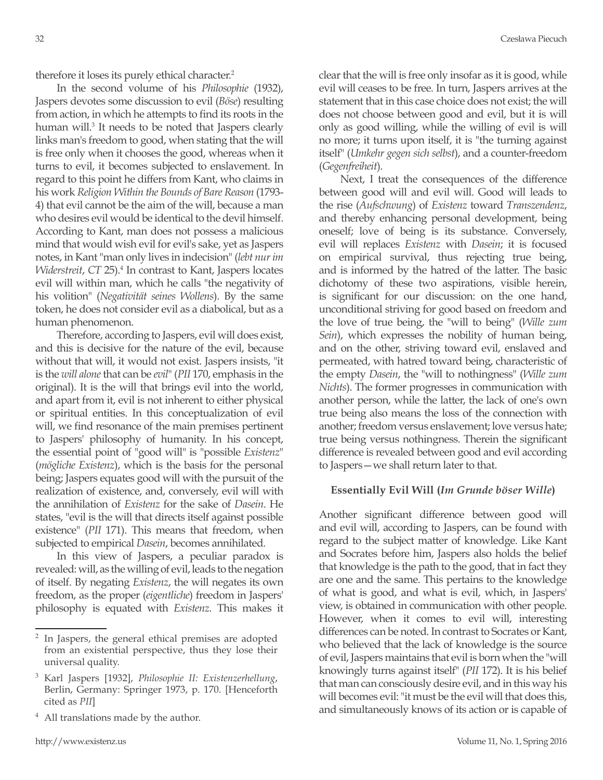therefore it loses its purely ethical character.<sup>2</sup>

In the second volume of his *Philosophie* (1932), Jaspers devotes some discussion to evil (*Böse*) resulting from action, in which he attempts to find its roots in the human will.<sup>3</sup> It needs to be noted that Jaspers clearly links man's freedom to good, when stating that the will is free only when it chooses the good, whereas when it turns to evil, it becomes subjected to enslavement. In regard to this point he differs from Kant, who claims in his work *Religion Within the Bounds of Bare Reason* (1793- 4) that evil cannot be the aim of the will, because a man who desires evil would be identical to the devil himself. According to Kant, man does not possess a malicious mind that would wish evil for evil's sake, yet as Jaspers notes, in Kant "man only lives in indecision" (*lebt nur im Widerstreit*, *CT* 25).4 In contrast to Kant, Jaspers locates evil will within man, which he calls "the negativity of his volition" (*Negativität seines Wollens*). By the same token, he does not consider evil as a diabolical, but as a human phenomenon.

Therefore, according to Jaspers, evil will does exist, and this is decisive for the nature of the evil, because without that will, it would not exist. Jaspers insists, "it is the *will alone* that can be *evil*" (*PII* 170, emphasis in the original). It is the will that brings evil into the world, and apart from it, evil is not inherent to either physical or spiritual entities. In this conceptualization of evil will, we find resonance of the main premises pertinent to Jaspers' philosophy of humanity. In his concept, the essential point of "good will" is "possible *Existenz*" (*mögliche Existenz*), which is the basis for the personal being; Jaspers equates good will with the pursuit of the realization of existence, and, conversely, evil will with the annihilation of *Existenz* for the sake of *Dasein*. He states, "evil is the will that directs itself against possible existence" (*PII* 171). This means that freedom, when subjected to empirical *Dasein*, becomes annihilated.

In this view of Jaspers, a peculiar paradox is revealed: will, as the willing of evil, leads to the negation of itself. By negating *Existenz*, the will negates its own freedom, as the proper (*eigentliche*) freedom in Jaspers' philosophy is equated with *Existenz*. This makes it

<sup>4</sup> All translations made by the author.

clear that the will is free only insofar as it is good, while evil will ceases to be free. In turn, Jaspers arrives at the statement that in this case choice does not exist; the will does not choose between good and evil, but it is will only as good willing, while the willing of evil is will no more; it turns upon itself, it is "the turning against itself" (*Umkehr gegen sich selbst*), and a counter-freedom (*Gegenfreiheit*).

Next, I treat the consequences of the difference between good will and evil will. Good will leads to the rise (*Aufschwung*) of *Existenz* toward *Transzendenz*, and thereby enhancing personal development, being oneself; love of being is its substance. Conversely, evil will replaces *Existenz* with *Dasein*; it is focused on empirical survival, thus rejecting true being, and is informed by the hatred of the latter. The basic dichotomy of these two aspirations, visible herein, is significant for our discussion: on the one hand, unconditional striving for good based on freedom and the love of true being, the "will to being" (*Wille zum Sein*), which expresses the nobility of human being, and on the other, striving toward evil, enslaved and permeated, with hatred toward being, characteristic of the empty *Dasein*, the "will to nothingness" (*Wille zum Nichts*). The former progresses in communication with another person, while the latter, the lack of one's own true being also means the loss of the connection with another; freedom versus enslavement; love versus hate; true being versus nothingness. Therein the significant difference is revealed between good and evil according to Jaspers—we shall return later to that.

## **Essentially Evil Will (***Im Grunde böser Wille***)**

Another significant difference between good will and evil will, according to Jaspers, can be found with regard to the subject matter of knowledge. Like Kant and Socrates before him, Jaspers also holds the belief that knowledge is the path to the good, that in fact they are one and the same. This pertains to the knowledge of what is good, and what is evil, which, in Jaspers' view, is obtained in communication with other people. However, when it comes to evil will, interesting differences can be noted. In contrast to Socrates or Kant, who believed that the lack of knowledge is the source of evil, Jaspers maintains that evil is born when the "will knowingly turns against itself" (*PII* 172). It is his belief that man can consciously desire evil, and in this way his will becomes evil: "it must be the evil will that does this, and simultaneously knows of its action or is capable of

<sup>2</sup> In Jaspers, the general ethical premises are adopted from an existential perspective, thus they lose their universal quality.

<sup>3</sup> Karl Jaspers [1932], *Philosophie II: Existenzerhellung*, Berlin, Germany: Springer 1973, p. 170. [Henceforth cited as *PII*]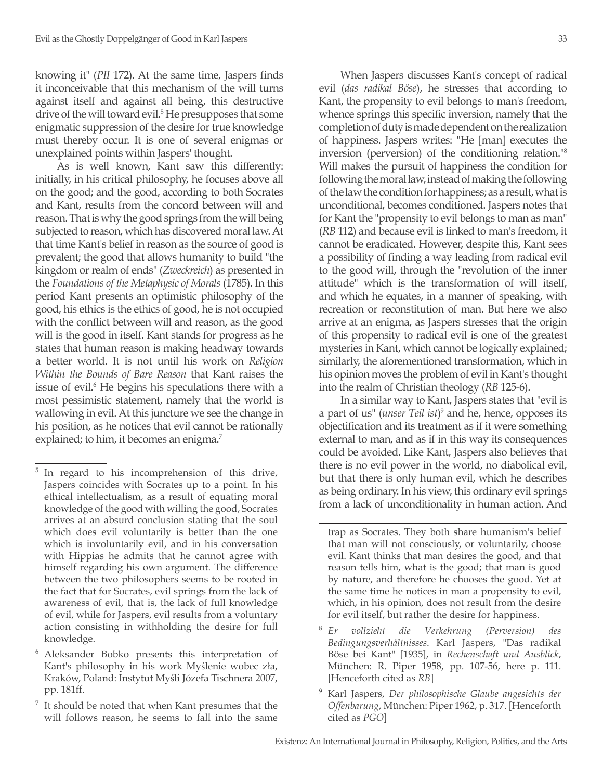knowing it" (*PII* 172). At the same time, Jaspers finds it inconceivable that this mechanism of the will turns against itself and against all being, this destructive drive of the will toward evil.<sup>5</sup> He presupposes that some enigmatic suppression of the desire for true knowledge must thereby occur. It is one of several enigmas or unexplained points within Jaspers' thought.

As is well known, Kant saw this differently: initially, in his critical philosophy, he focuses above all on the good; and the good, according to both Socrates and Kant, results from the concord between will and reason. That is why the good springs from the will being subjected to reason, which has discovered moral law. At that time Kant's belief in reason as the source of good is prevalent; the good that allows humanity to build "the kingdom or realm of ends" (*Zweckreich*) as presented in the *Foundations of the Metaphysic of Morals* (1785). In this period Kant presents an optimistic philosophy of the good, his ethics is the ethics of good, he is not occupied with the conflict between will and reason, as the good will is the good in itself. Kant stands for progress as he states that human reason is making headway towards a better world. It is not until his work on *Religion Within the Bounds of Bare Reason* that Kant raises the issue of evil.<sup>6</sup> He begins his speculations there with a most pessimistic statement, namely that the world is wallowing in evil. At this juncture we see the change in his position, as he notices that evil cannot be rationally explained; to him, it becomes an enigma.<sup>7</sup>

When Jaspers discusses Kant's concept of radical evil (*das radikal Böse*), he stresses that according to Kant, the propensity to evil belongs to man's freedom, whence springs this specific inversion, namely that the completion of duty is made dependent on the realization of happiness. Jaspers writes: "He [man] executes the inversion (perversion) of the conditioning relation."8 Will makes the pursuit of happiness the condition for following the moral law, instead of making the following of the law the condition for happiness; as a result, what is unconditional, becomes conditioned. Jaspers notes that for Kant the "propensity to evil belongs to man as man" (*RB* 112) and because evil is linked to man's freedom, it cannot be eradicated. However, despite this, Kant sees a possibility of finding a way leading from radical evil to the good will, through the "revolution of the inner attitude" which is the transformation of will itself, and which he equates, in a manner of speaking, with recreation or reconstitution of man. But here we also arrive at an enigma, as Jaspers stresses that the origin of this propensity to radical evil is one of the greatest mysteries in Kant, which cannot be logically explained; similarly, the aforementioned transformation, which in his opinion moves the problem of evil in Kant's thought into the realm of Christian theology (*RB* 125-6).

In a similar way to Kant, Jaspers states that "evil is a part of us" (*unser Teil ist*) 9 and he, hence, opposes its objectification and its treatment as if it were something external to man, and as if in this way its consequences could be avoided. Like Kant, Jaspers also believes that there is no evil power in the world, no diabolical evil, but that there is only human evil, which he describes as being ordinary. In his view, this ordinary evil springs from a lack of unconditionality in human action. And

- <sup>8</sup> *Er vollzieht die Verkehrung (Perversion) des Bedingungsverhältnisses*. Karl Jaspers, "Das radikal Böse bei Kant" [1935], in *Rechenschaft und Ausblick*, München: R. Piper 1958, pp. 107-56, here p. 111. [Henceforth cited as *RB*]
- <sup>9</sup> Karl Jaspers, *Der philosophische Glaube angesichts der Offenbarung*, München: Piper 1962, p. 317. [Henceforth cited as *PGO*]

<sup>&</sup>lt;sup>5</sup> In regard to his incomprehension of this drive, Jaspers coincides with Socrates up to a point. In his ethical intellectualism, as a result of equating moral knowledge of the good with willing the good, Socrates arrives at an absurd conclusion stating that the soul which does evil voluntarily is better than the one which is involuntarily evil, and in his conversation with Hippias he admits that he cannot agree with himself regarding his own argument. The difference between the two philosophers seems to be rooted in the fact that for Socrates, evil springs from the lack of awareness of evil, that is, the lack of full knowledge of evil, while for Jaspers, evil results from a voluntary action consisting in withholding the desire for full knowledge.

<sup>6</sup> Aleksander Bobko presents this interpretation of Kant's philosophy in his work Myślenie wobec zła, Kraków, Poland: Instytut Myśli Józefa Tischnera 2007, pp. 181ff.

It should be noted that when Kant presumes that the will follows reason, he seems to fall into the same

trap as Socrates. They both share humanism's belief that man will not consciously, or voluntarily, choose evil. Kant thinks that man desires the good, and that reason tells him, what is the good; that man is good by nature, and therefore he chooses the good. Yet at the same time he notices in man a propensity to evil, which, in his opinion, does not result from the desire for evil itself, but rather the desire for happiness.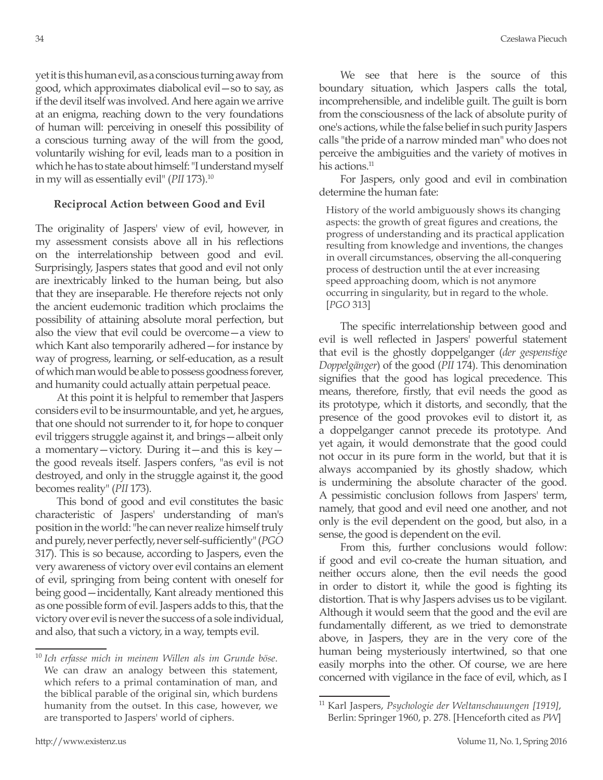yet it is this human evil, as a conscious turning away from good, which approximates diabolical evil—so to say, as if the devil itself was involved. And here again we arrive at an enigma, reaching down to the very foundations of human will: perceiving in oneself this possibility of a conscious turning away of the will from the good, voluntarily wishing for evil, leads man to a position in which he has to state about himself: "I understand myself in my will as essentially evil" (*PII* 173).10

## **Reciprocal Action between Good and Evil**

The originality of Jaspers' view of evil, however, in my assessment consists above all in his reflections on the interrelationship between good and evil. Surprisingly, Jaspers states that good and evil not only are inextricably linked to the human being, but also that they are inseparable. He therefore rejects not only the ancient eudemonic tradition which proclaims the possibility of attaining absolute moral perfection, but also the view that evil could be overcome—a view to which Kant also temporarily adhered—for instance by way of progress, learning, or self-education, as a result of which man would be able to possess goodness forever, and humanity could actually attain perpetual peace.

At this point it is helpful to remember that Jaspers considers evil to be insurmountable, and yet, he argues, that one should not surrender to it, for hope to conquer evil triggers struggle against it, and brings—albeit only a momentary—victory. During it—and this is key the good reveals itself. Jaspers confers, "as evil is not destroyed, and only in the struggle against it, the good becomes reality" (*PII* 173).

This bond of good and evil constitutes the basic characteristic of Jaspers' understanding of man's position in the world: "he can never realize himself truly and purely, never perfectly, never self-sufficiently" (*PGO* 317). This is so because, according to Jaspers, even the very awareness of victory over evil contains an element of evil, springing from being content with oneself for being good—incidentally, Kant already mentioned this as one possible form of evil. Jaspers adds to this, that the victory over evil is never the success of a sole individual, and also, that such a victory, in a way, tempts evil.

We see that here is the source of this boundary situation, which Jaspers calls the total, incomprehensible, and indelible guilt. The guilt is born from the consciousness of the lack of absolute purity of one's actions, while the false belief in such purity Jaspers calls "the pride of a narrow minded man" who does not perceive the ambiguities and the variety of motives in his actions.<sup>11</sup>

For Jaspers, only good and evil in combination determine the human fate:

History of the world ambiguously shows its changing aspects: the growth of great figures and creations, the progress of understanding and its practical application resulting from knowledge and inventions, the changes in overall circumstances, observing the all-conquering process of destruction until the at ever increasing speed approaching doom, which is not anymore occurring in singularity, but in regard to the whole. [*PGO* 313]

The specific interrelationship between good and evil is well reflected in Jaspers' powerful statement that evil is the ghostly doppelganger (*der gespenstige Doppelgänger*) of the good (*PII* 174). This denomination signifies that the good has logical precedence. This means, therefore, firstly, that evil needs the good as its prototype, which it distorts, and secondly, that the presence of the good provokes evil to distort it, as a doppelganger cannot precede its prototype. And yet again, it would demonstrate that the good could not occur in its pure form in the world, but that it is always accompanied by its ghostly shadow, which is undermining the absolute character of the good. A pessimistic conclusion follows from Jaspers' term, namely, that good and evil need one another, and not only is the evil dependent on the good, but also, in a sense, the good is dependent on the evil.

From this, further conclusions would follow: if good and evil co-create the human situation, and neither occurs alone, then the evil needs the good in order to distort it, while the good is fighting its distortion. That is why Jaspers advises us to be vigilant. Although it would seem that the good and the evil are fundamentally different, as we tried to demonstrate above, in Jaspers, they are in the very core of the human being mysteriously intertwined, so that one easily morphs into the other. Of course, we are here concerned with vigilance in the face of evil, which, as I

<sup>10</sup> *Ich erfasse mich in meinem Willen als im Grunde böse*. We can draw an analogy between this statement, which refers to a primal contamination of man, and the biblical parable of the original sin, which burdens humanity from the outset. In this case, however, we are transported to Jaspers' world of ciphers.

<sup>11</sup> Karl Jaspers, *Psychologie der Weltanschauungen [1919]*, Berlin: Springer 1960, p. 278. [Henceforth cited as *PW*]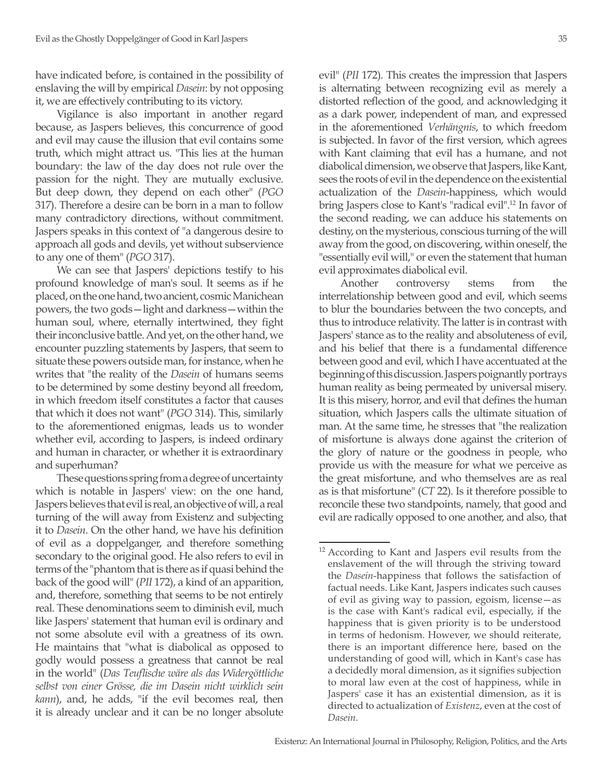have indicated before, is contained in the possibility of enslaving the will by empirical *Dasein*: by not opposing it, we are effectively contributing to its victory.

Vigilance is also important in another regard because, as Jaspers believes, this concurrence of good and evil may cause the illusion that evil contains some truth, which might attract us. "This lies at the human boundary: the law of the day does not rule over the passion for the night. They are mutually exclusive. But deep down, they depend on each other" (*PGO* 317). Therefore a desire can be born in a man to follow many contradictory directions, without commitment. Jaspers speaks in this context of "a dangerous desire to approach all gods and devils, yet without subservience to any one of them" (*PGO* 317).

We can see that Jaspers' depictions testify to his profound knowledge of man's soul. It seems as if he placed, on the one hand, two ancient, cosmic Manichean powers, the two gods—light and darkness—within the human soul, where, eternally intertwined, they fight their inconclusive battle. And yet, on the other hand, we encounter puzzling statements by Jaspers, that seem to situate these powers outside man, for instance, when he writes that "the reality of the *Dasein* of humans seems to be determined by some destiny beyond all freedom, in which freedom itself constitutes a factor that causes that which it does not want" (*PGO* 314). This, similarly to the aforementioned enigmas, leads us to wonder whether evil, according to Jaspers, is indeed ordinary and human in character, or whether it is extraordinary and superhuman?

These questions spring from a degree of uncertainty which is notable in Jaspers' view: on the one hand, Jaspers believes that evil is real, an objective of will, a real turning of the will away from Existenz and subjecting it to *Dasein*. On the other hand, we have his definition of evil as a doppelganger, and therefore something secondary to the original good. He also refers to evil in terms of the "phantom that is there as if quasi behind the back of the good will" (*PII* 172), a kind of an apparition, and, therefore, something that seems to be not entirely real. These denominations seem to diminish evil, much like Jaspers' statement that human evil is ordinary and not some absolute evil with a greatness of its own. He maintains that "what is diabolical as opposed to godly would possess a greatness that cannot be real in the world" (*Das Teuflische wäre als das Widergöttliche selbst von einer Grösse, die im Dasein nicht wirklich sein kann*), and, he adds, "if the evil becomes real, then it is already unclear and it can be no longer absolute

evil" (*PII* 172). This creates the impression that Jaspers is alternating between recognizing evil as merely a distorted reflection of the good, and acknowledging it as a dark power, independent of man, and expressed in the aforementioned *Verhängnis*, to which freedom is subjected. In favor of the first version, which agrees with Kant claiming that evil has a humane, and not diabolical dimension, we observe that Jaspers, like Kant, sees the roots of evil in the dependence on the existential actualization of the *Dasein*-happiness, which would bring Jaspers close to Kant's "radical evil".12 In favor of the second reading, we can adduce his statements on destiny, on the mysterious, conscious turning of the will away from the good, on discovering, within oneself, the "essentially evil will," or even the statement that human evil approximates diabolical evil.

Another controversy stems from the interrelationship between good and evil, which seems to blur the boundaries between the two concepts, and thus to introduce relativity. The latter is in contrast with Jaspers' stance as to the reality and absoluteness of evil, and his belief that there is a fundamental difference between good and evil, which I have accentuated at the beginning of this discussion. Jaspers poignantly portrays human reality as being permeated by universal misery. It is this misery, horror, and evil that defines the human situation, which Jaspers calls the ultimate situation of man. At the same time, he stresses that "the realization of misfortune is always done against the criterion of the glory of nature or the goodness in people, who provide us with the measure for what we perceive as the great misfortune, and who themselves are as real as is that misfortune" (*CT* 22). Is it therefore possible to reconcile these two standpoints, namely, that good and evil are radically opposed to one another, and also, that

<sup>12</sup> According to Kant and Jaspers evil results from the enslavement of the will through the striving toward the *Dasein*-happiness that follows the satisfaction of factual needs. Like Kant, Jaspers indicates such causes of evil as giving way to passion, egoism, license—as is the case with Kant's radical evil, especially, if the happiness that is given priority is to be understood in terms of hedonism. However, we should reiterate, there is an important difference here, based on the understanding of good will, which in Kant's case has a decidedly moral dimension, as it signifies subjection to moral law even at the cost of happiness, while in Jaspers' case it has an existential dimension, as it is directed to actualization of *Existenz*, even at the cost of *Dasein*.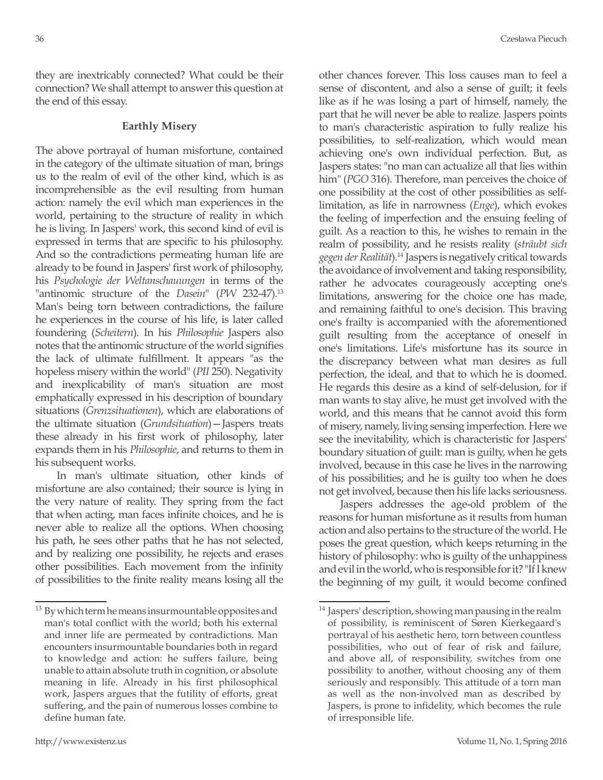they are inextricably connected? What could be their connection? We shall attempt to answer this question at the end of this essay.

#### **Earthly Misery**

The above portrayal of human misfortune, contained in the category of the ultimate situation of man, brings us to the realm of evil of the other kind, which is as incomprehensible as the evil resulting from human action: namely the evil which man experiences in the world, pertaining to the structure of reality in which he is living. In Jaspers' work, this second kind of evil is expressed in terms that are specific to his philosophy. And so the contradictions permeating human life are already to be found in Jaspers' first work of philosophy, his *Psychologie der Weltanschauungen* in terms of the "antinomic structure of the *Dasein*" (*PW* 232-47).13 Man's being torn between contradictions, the failure he experiences in the course of his life, is later called foundering (*Scheitern*). In his *Philosophie* Jaspers also notes that the antinomic structure of the world signifies the lack of ultimate fulfillment. It appears "as the hopeless misery within the world" (*PII* 250). Negativity and inexplicability of man's situation are most emphatically expressed in his description of boundary situations (*Grenzsituationen*), which are elaborations of the ultimate situation (*Grundsituation*)—Jaspers treats these already in his first work of philosophy, later expands them in his *Philosophie*, and returns to them in his subsequent works.

In man's ultimate situation, other kinds of misfortune are also contained; their source is lying in the very nature of reality. They spring from the fact that when acting, man faces infinite choices, and he is never able to realize all the options. When choosing his path, he sees other paths that he has not selected, and by realizing one possibility, he rejects and erases other possibilities. Each movement from the infinity of possibilities to the finite reality means losing all the other chances forever. This loss causes man to feel a sense of discontent, and also a sense of guilt; it feels like as if he was losing a part of himself, namely, the part that he will never be able to realize. Jaspers points to man's characteristic aspiration to fully realize his possibilities, to self-realization, which would mean achieving one's own individual perfection. But, as Jaspers states: "no man can actualize all that lies within him" (*PGO* 316). Therefore, man perceives the choice of one possibility at the cost of other possibilities as selflimitation, as life in narrowness (*Enge*), which evokes the feeling of imperfection and the ensuing feeling of guilt. As a reaction to this, he wishes to remain in the realm of possibility, and he resists reality (*sträubt sich gegen der Realität*).14 Jaspers is negatively critical towards the avoidance of involvement and taking responsibility, rather he advocates courageously accepting one's limitations, answering for the choice one has made, and remaining faithful to one's decision. This braving one's frailty is accompanied with the aforementioned guilt resulting from the acceptance of oneself in one's limitations. Life's misfortune has its source in the discrepancy between what man desires as full perfection, the ideal, and that to which he is doomed. He regards this desire as a kind of self-delusion, for if man wants to stay alive, he must get involved with the world, and this means that he cannot avoid this form of misery, namely, living sensing imperfection. Here we see the inevitability, which is characteristic for Jaspers' boundary situation of guilt: man is guilty, when he gets involved, because in this case he lives in the narrowing of his possibilities; and he is guilty too when he does not get involved, because then his life lacks seriousness.

Jaspers addresses the age-old problem of the reasons for human misfortune as it results from human action and also pertains to the structure of the world. He poses the great question, which keeps returning in the history of philosophy: who is guilty of the unhappiness and evil in the world, who is responsible for it? "If I knew the beginning of my guilt, it would become confined

<sup>&</sup>lt;sup>13</sup> By which term he means insurmountable opposites and man's total conflict with the world; both his external and inner life are permeated by contradictions. Man encounters insurmountable boundaries both in regard to knowledge and action: he suffers failure, being unable to attain absolute truth in cognition, or absolute meaning in life. Already in his first philosophical work, Jaspers argues that the futility of efforts, great suffering, and the pain of numerous losses combine to define human fate.

<sup>&</sup>lt;sup>14</sup> Jaspers' description, showing man pausing in the realm of possibility, is reminiscent of Søren Kierkegaard's portrayal of his aesthetic hero, torn between countless possibilities, who out of fear of risk and failure, and above all, of responsibility, switches from one possibility to another, without choosing any of them seriously and responsibly. This attitude of a torn man as well as the non-involved man as described by Jaspers, is prone to infidelity, which becomes the rule of irresponsible life.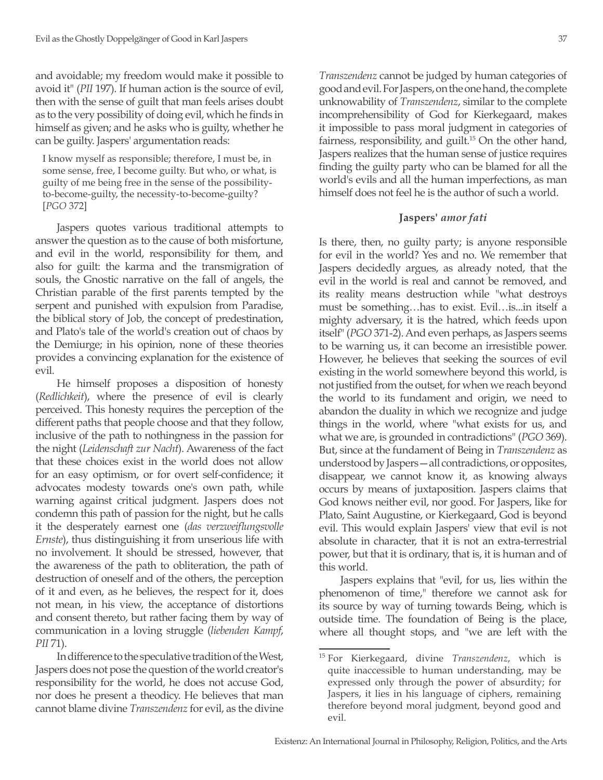and avoidable; my freedom would make it possible to avoid it" (*PII* 197). If human action is the source of evil, then with the sense of guilt that man feels arises doubt as to the very possibility of doing evil, which he finds in himself as given; and he asks who is guilty, whether he can be guilty. Jaspers' argumentation reads:

I know myself as responsible; therefore, I must be, in some sense, free, I become guilty. But who, or what, is guilty of me being free in the sense of the possibilityto-become-guilty, the necessity-to-become-guilty? [*PGO* 372]

Jaspers quotes various traditional attempts to answer the question as to the cause of both misfortune, and evil in the world, responsibility for them, and also for guilt: the karma and the transmigration of souls, the Gnostic narrative on the fall of angels, the Christian parable of the first parents tempted by the serpent and punished with expulsion from Paradise, the biblical story of Job, the concept of predestination, and Plato's tale of the world's creation out of chaos by the Demiurge; in his opinion, none of these theories provides a convincing explanation for the existence of evil.

He himself proposes a disposition of honesty (*Redlichkeit*), where the presence of evil is clearly perceived. This honesty requires the perception of the different paths that people choose and that they follow, inclusive of the path to nothingness in the passion for the night (*Leidenschaft zur Nacht*). Awareness of the fact that these choices exist in the world does not allow for an easy optimism, or for overt self-confidence; it advocates modesty towards one's own path, while warning against critical judgment. Jaspers does not condemn this path of passion for the night, but he calls it the desperately earnest one (*das verzweiflungsvolle Ernste*), thus distinguishing it from unserious life with no involvement. It should be stressed, however, that the awareness of the path to obliteration, the path of destruction of oneself and of the others, the perception of it and even, as he believes, the respect for it, does not mean, in his view, the acceptance of distortions and consent thereto, but rather facing them by way of communication in a loving struggle (*liebenden Kampf*, *PII* 71).

In difference to the speculative tradition of the West, Jaspers does not pose the question of the world creator's responsibility for the world, he does not accuse God, nor does he present a theodicy. He believes that man cannot blame divine *Transzendenz* for evil, as the divine

*Transzendenz* cannot be judged by human categories of good and evil. For Jaspers, on the one hand, the complete unknowability of *Transzendenz*, similar to the complete incomprehensibility of God for Kierkegaard, makes it impossible to pass moral judgment in categories of fairness, responsibility, and guilt.<sup>15</sup> On the other hand, Jaspers realizes that the human sense of justice requires finding the guilty party who can be blamed for all the world's evils and all the human imperfections, as man himself does not feel he is the author of such a world.

#### **Jaspers'** *amor fati*

Is there, then, no guilty party; is anyone responsible for evil in the world? Yes and no. We remember that Jaspers decidedly argues, as already noted, that the evil in the world is real and cannot be removed, and its reality means destruction while "what destroys must be something…has to exist. Evil…is...in itself a mighty adversary, it is the hatred, which feeds upon itself" (*PGO* 371-2). And even perhaps, as Jaspers seems to be warning us, it can become an irresistible power. However, he believes that seeking the sources of evil existing in the world somewhere beyond this world, is not justified from the outset, for when we reach beyond the world to its fundament and origin, we need to abandon the duality in which we recognize and judge things in the world, where "what exists for us, and what we are, is grounded in contradictions" (*PGO* 369). But, since at the fundament of Being in *Transzendenz* as understood by Jaspers—all contradictions, or opposites, disappear, we cannot know it, as knowing always occurs by means of juxtaposition. Jaspers claims that God knows neither evil, nor good. For Jaspers, like for Plato, Saint Augustine, or Kierkegaard, God is beyond evil. This would explain Jaspers' view that evil is not absolute in character, that it is not an extra-terrestrial power, but that it is ordinary, that is, it is human and of this world.

Jaspers explains that "evil, for us, lies within the phenomenon of time," therefore we cannot ask for its source by way of turning towards Being, which is outside time. The foundation of Being is the place, where all thought stops, and "we are left with the

<sup>15</sup> For Kierkegaard, divine *Transzendenz*, which is quite inaccessible to human understanding, may be expressed only through the power of absurdity; for Jaspers, it lies in his language of ciphers, remaining therefore beyond moral judgment, beyond good and evil.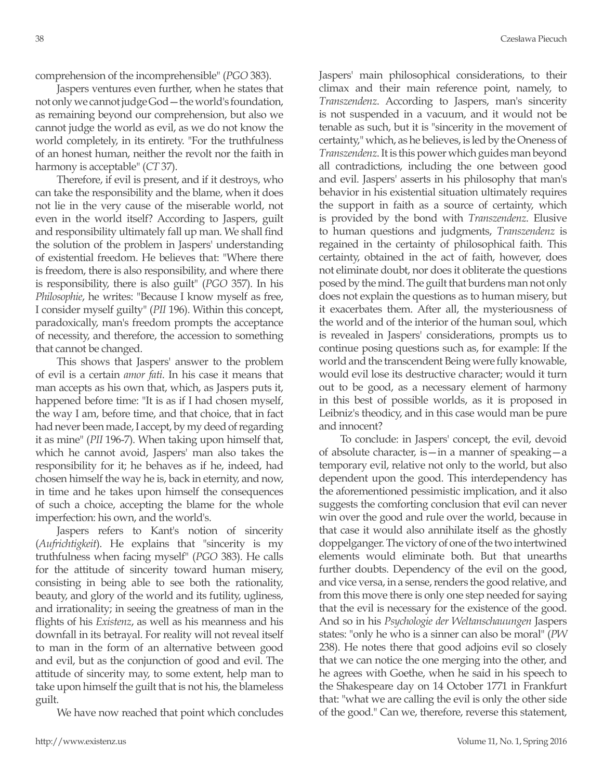comprehension of the incomprehensible" (*PGO* 383).

Jaspers ventures even further, when he states that not only we cannot judge God—the world's foundation, as remaining beyond our comprehension, but also we cannot judge the world as evil, as we do not know the world completely, in its entirety. "For the truthfulness of an honest human, neither the revolt nor the faith in harmony is acceptable" (*CT* 37).

Therefore, if evil is present, and if it destroys, who can take the responsibility and the blame, when it does not lie in the very cause of the miserable world, not even in the world itself? According to Jaspers, guilt and responsibility ultimately fall up man. We shall find the solution of the problem in Jaspers' understanding of existential freedom. He believes that: "Where there is freedom, there is also responsibility, and where there is responsibility, there is also guilt" (*PGO* 357). In his *Philosophie*, he writes: "Because I know myself as free, I consider myself guilty" (*PII* 196). Within this concept, paradoxically, man's freedom prompts the acceptance of necessity, and therefore, the accession to something that cannot be changed.

This shows that Jaspers' answer to the problem of evil is a certain *amor fati*. In his case it means that man accepts as his own that, which, as Jaspers puts it, happened before time: "It is as if I had chosen myself, the way I am, before time, and that choice, that in fact had never been made, I accept, by my deed of regarding it as mine" (*PII* 196-7). When taking upon himself that, which he cannot avoid, Jaspers' man also takes the responsibility for it; he behaves as if he, indeed, had chosen himself the way he is, back in eternity, and now, in time and he takes upon himself the consequences of such a choice, accepting the blame for the whole imperfection: his own, and the world's.

Jaspers refers to Kant's notion of sincerity (*Aufrichtigkeit*). He explains that "sincerity is my truthfulness when facing myself" (*PGO* 383). He calls for the attitude of sincerity toward human misery, consisting in being able to see both the rationality, beauty, and glory of the world and its futility, ugliness, and irrationality; in seeing the greatness of man in the flights of his *Existenz*, as well as his meanness and his downfall in its betrayal. For reality will not reveal itself to man in the form of an alternative between good and evil, but as the conjunction of good and evil. The attitude of sincerity may, to some extent, help man to take upon himself the guilt that is not his, the blameless guilt.

We have now reached that point which concludes

Jaspers' main philosophical considerations, to their climax and their main reference point, namely, to *Transzendenz*. According to Jaspers, man's sincerity is not suspended in a vacuum, and it would not be tenable as such, but it is "sincerity in the movement of certainty," which, as he believes, is led by the Oneness of *Transzendenz*. It is this power which guides man beyond all contradictions, including the one between good and evil. Jaspers' asserts in his philosophy that man's behavior in his existential situation ultimately requires the support in faith as a source of certainty, which is provided by the bond with *Transzendenz*. Elusive to human questions and judgments, *Transzendenz* is regained in the certainty of philosophical faith. This certainty, obtained in the act of faith, however, does not eliminate doubt, nor does it obliterate the questions posed by the mind. The guilt that burdens man not only does not explain the questions as to human misery, but it exacerbates them. After all, the mysteriousness of the world and of the interior of the human soul, which is revealed in Jaspers' considerations, prompts us to continue posing questions such as, for example: If the world and the transcendent Being were fully knowable, would evil lose its destructive character; would it turn out to be good, as a necessary element of harmony in this best of possible worlds, as it is proposed in Leibniz's theodicy, and in this case would man be pure and innocent?

To conclude: in Jaspers' concept, the evil, devoid of absolute character, is—in a manner of speaking—a temporary evil, relative not only to the world, but also dependent upon the good. This interdependency has the aforementioned pessimistic implication, and it also suggests the comforting conclusion that evil can never win over the good and rule over the world, because in that case it would also annihilate itself as the ghostly doppelganger. The victory of one of the two intertwined elements would eliminate both. But that unearths further doubts. Dependency of the evil on the good, and vice versa, in a sense, renders the good relative, and from this move there is only one step needed for saying that the evil is necessary for the existence of the good. And so in his *Psychologie der Weltanschauungen* Jaspers states: "only he who is a sinner can also be moral" (*PW* 238). He notes there that good adjoins evil so closely that we can notice the one merging into the other, and he agrees with Goethe, when he said in his speech to the Shakespeare day on 14 October 1771 in Frankfurt that: "what we are calling the evil is only the other side of the good." Can we, therefore, reverse this statement,